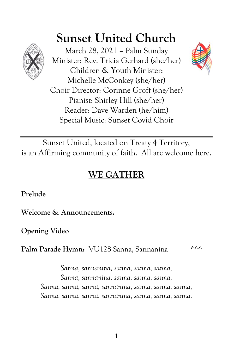

# **Sunset United Church**

March 28, 2021 – Palm Sunday Minister: Rev. Tricia Gerhard (she/her) Children & Youth Minister: Michelle McConkey (she/her) Choir Director: Corinne Groff (she/her) Pianist: Shirley Hill (she/her) Reader: Dave Warden (he/him) Special Music: Sunset Covid Choir



Sunset United, located on Treaty 4 Territory, is an Affirming community of faith. All are welcome here.

# **WE GATHER**

**Prelude**

**Welcome & Announcements.**

**Opening Video**

Palm Parade Hymn: VU128 Sanna, Sannanina <sup>^^^</sup>

*Sanna, sannanina, sanna, sanna, sanna, Sanna, sannanina, sanna, sanna, sanna, Sanna, sanna, sanna, sannanina, sanna, sanna, sanna, Sanna, sanna, sanna, sannanina, sanna, sanna, sanna.*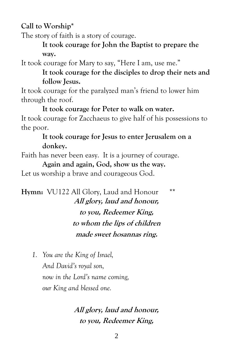**Call to Worship\***

The story of faith is a story of courage.

**It took courage for John the Baptist to prepare the way.**

It took courage for Mary to say, "Here I am, use me."

**It took courage for the disciples to drop their nets and follow Jesus.**

It took courage for the paralyzed man's friend to lower him through the roof.

**It took courage for Peter to walk on water.** It took courage for Zacchaeus to give half of his possessions to the poor.

# **It took courage for Jesus to enter Jerusalem on a donkey.**

Faith has never been easy. It is a journey of courage.

**Again and again, God, show us the way.**

Let us worship a brave and courageous God.

Hymn: VU122 All Glory, Laud and Honour \*\* **All glory, laud and honour, to you, Redeemer King, to whom the lips of children made sweet hosannas ring.**

*1. You are the King of Israel, And David's royal son, now in the Lord's name coming, our King and blessed one.*

> **All glory, laud and honour, to you, Redeemer King,**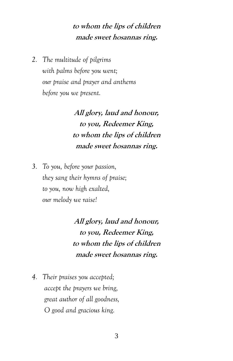# **to whom the lips of children made sweet hosannas ring.**

*2. The multitude of pilgrims with palms before you went; our praise and prayer and anthems before you we present.*

> **All glory, laud and honour, to you, Redeemer King, to whom the lips of children made sweet hosannas ring.**

*3. To you, before your passion, they sang their hymns of praise; to you, now high exalted, our melody we raise!*

> **All glory, laud and honour, to you, Redeemer King, to whom the lips of children made sweet hosannas ring.**

*4. Their praises you accepted; accept the prayers we bring, great author of all goodness, O good and gracious king.*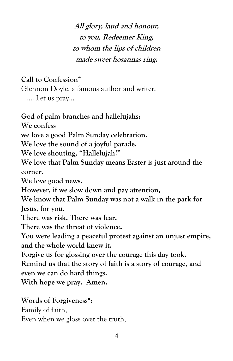**All glory, laud and honour, to you, Redeemer King, to whom the lips of children made sweet hosannas ring.**

**Call to Confession\***

Glennon Doyle, a famous author and writer, ……..Let us pray…

**God of palm branches and hallelujahs: We confess – we love a good Palm Sunday celebration. We love the sound of a joyful parade. We love shouting, "Hallelujah!" We love that Palm Sunday means Easter is just around the corner. We love good news. However, if we slow down and pay attention, We know that Palm Sunday was not a walk in the park for Jesus, for you. There was risk. There was fear. There was the threat of violence. You were leading a peaceful protest against an unjust empire, and the whole world knew it. Forgive us for glossing over the courage this day took. Remind us that the story of faith is a story of courage, and even we can do hard things. With hope we pray. Amen.**

**Words of Forgiveness\*:**

Family of faith,

Even when we gloss over the truth,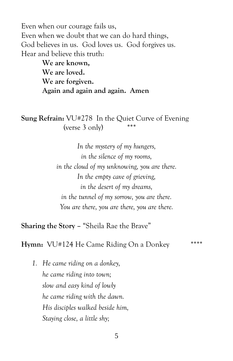Even when our courage fails us, Even when we doubt that we can do hard things, God believes in us. God loves us. God forgives us. Hear and believe this truth:

> **We are known, We are loved. We are forgiven. Again and again and again. Amen**

**Sung Refrain:** VU#278 In the Quiet Curve of Evening (verse  $3$  only) \*\*\*

> *In the mystery of my hungers, in the silence of my rooms, in the cloud of my unknowing, you are there. In the empty cave of grieving, in the desert of my dreams, in the tunnel of my sorrow, you are there. You are there, you are there, you are there.*

**Sharing the Story –** "Sheila Rae the Brave"

**Hymn:** VU#124 He Came Riding On a Donkey \*\*\*\*

*1. He came riding on a donkey, he came riding into town; slow and easy kind of lowly he came riding with the dawn. His disciples walked beside him, Staying close, a little shy;*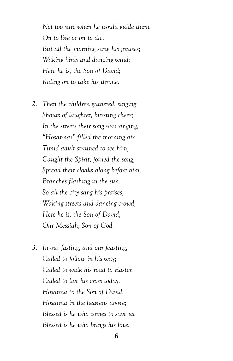*Not too sure when he would guide them, On to live or on to die. But all the morning sang his praises; Waking birds and dancing wind; Here he is, the Son of David; Riding on to take his throne.*

- *2. Then the children gathered, singing Shouts of laughter, bursting cheer; In the streets their song was ringing, "Hosannas" filled the morning air. Timid adult strained to see him, Caught the Spirit, joined the song; Spread their cloaks along before him, Branches flashing in the sun. So all the city sang his praises; Waking streets and dancing crowd; Here he is, the Son of David; Our Messiah, Son of God.*
- *3. In our fasting, and our feasting, Called to follow in his way; Called to walk his road to Easter, Called to live his cross today. Hosanna to the Son of David, Hosanna in the heavens above; Blessed is he who comes to save us, Blessed is he who brings his love.*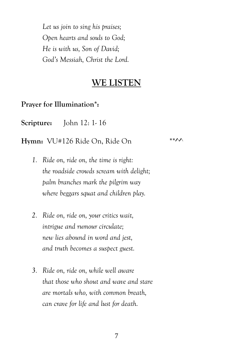*Let us join to sing his praises; Open hearts and souls to God; He is with us, Son of David; God's Messiah, Christ the Lord.*

# **WE LISTEN**

**Prayer for Illumination\*:**

**Scripture:** John 12: 1- 16

**Hymn:**  $VU#126$  Ride On, Ride On \*\*^^

- *1. Ride on, ride on, the time is right: the roadside crowds scream with delight; palm branches mark the pilgrim way where beggars squat and children play.*
- *2. Ride on, ride on, your critics wait, intrigue and rumour circulate; new lies abound in word and jest, and truth becomes a suspect guest.*
- *3. Ride on, ride on, while well aware that those who shout and wave and stare are mortals who, with common breath, can crave for life and lust for death.*